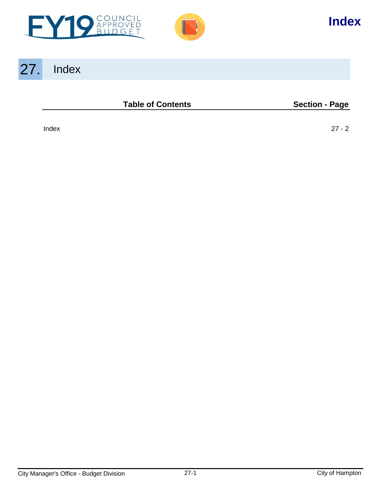



# 27. Index

#### **Table of Contents Section - Page**

[Index 27 - 2](#page-1-0)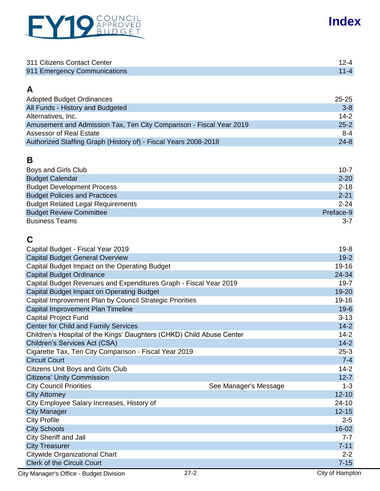<span id="page-1-0"></span>

| 311 Citizens Contact Center  |  |
|------------------------------|--|
| 911 Emergency Communications |  |

## **A**

| <b>Adopted Budget Ordinances</b>                                    | $25 - 25$ |
|---------------------------------------------------------------------|-----------|
| All Funds - History and Budgeted                                    | $3 - 8$   |
| Alternatives, Inc.                                                  | $14-2$    |
| Amusement and Admission Tax, Ten City Comparison - Fiscal Year 2019 | $25 - 2$  |
| Assessor of Real Estate                                             | 8-4       |
| Authorized Staffing Graph (History of) - Fiscal Years 2008-2018     | $24 - 8$  |

## **B**

| Boys and Girls Club                      | $10 - 7$  |
|------------------------------------------|-----------|
| <b>Budget Calendar</b>                   | $2 - 20$  |
| <b>Budget Development Process</b>        | $2 - 18$  |
| <b>Budget Policies and Practices</b>     | $2 - 21$  |
| <b>Budget Related Legal Requirements</b> | $2 - 24$  |
| <b>Budget Review Committee</b>           | Preface-9 |
| <b>Business Teams</b>                    | $3 - 7$   |

# **C**

| Capital Budget - Fiscal Year 2019                                     |                       | $19 - 8$        |
|-----------------------------------------------------------------------|-----------------------|-----------------|
| <b>Capital Budget General Overview</b>                                |                       | $19-2$          |
| Capital Budget Impact on the Operating Budget                         |                       | 19-16           |
| <b>Capital Budget Ordinance</b>                                       |                       | 24-34           |
| Capital Budget Revenues and Expenditures Graph - Fiscal Year 2019     |                       | $19 - 7$        |
| <b>Capital Budget Impact on Operating Budget</b>                      |                       | 19-20           |
| Capital Improvement Plan by Council Strategic Priorities              |                       | $19 - 16$       |
| Capital Improvement Plan Timeline                                     |                       | $19-6$          |
| <b>Capital Project Fund</b>                                           |                       | $3 - 13$        |
| <b>Center for Child and Family Services</b>                           |                       | $14 - 2$        |
| Children's Hospital of the Kings' Daughters (CHKD) Child Abuse Center |                       | $14-2$          |
| Children's Services Act (CSA)                                         |                       | $14 - 2$        |
| Cigarette Tax, Ten City Comparison - Fiscal Year 2019                 |                       | $25-3$          |
| <b>Circuit Court</b>                                                  |                       | $7 - 4$         |
| <b>Citizens Unit Boys and Girls Club</b>                              |                       | $14 - 2$        |
| <b>Citizens' Unity Commission</b>                                     |                       | $12 - 7$        |
| <b>City Council Priorities</b>                                        | See Manager's Message | $1 - 3$         |
| <b>City Attorney</b>                                                  |                       | $12 - 10$       |
| City Employee Salary Increases, History of                            |                       | $24 - 10$       |
| <b>City Manager</b>                                                   |                       | $12 - 15$       |
| <b>City Profile</b>                                                   |                       | $2 - 5$         |
| <b>City Schools</b>                                                   |                       | $16 - 02$       |
| <b>City Sheriff and Jail</b>                                          |                       | $7 - 7$         |
| <b>City Treasurer</b>                                                 |                       | $7 - 11$        |
| Citywide Organizational Chart                                         |                       | $2 - 2$         |
| <b>Clerk of the Circuit Court</b>                                     |                       | $7 - 15$        |
| City Manager's Office - Budget Division                               | $27 - 2$              | City of Hampton |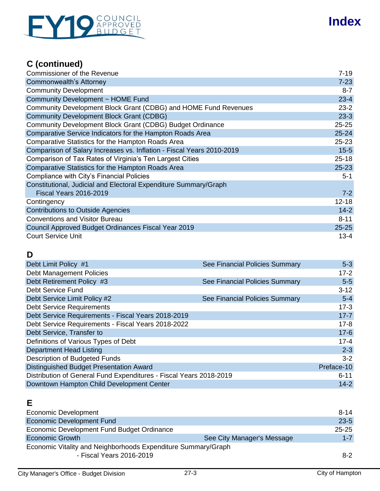# EY19 APPROVED

# **Index**

# **C (continued)**

| <b>Commissioner of the Revenue</b>                                    | $7 - 19$  |
|-----------------------------------------------------------------------|-----------|
| Commonwealth's Attorney                                               | $7 - 23$  |
| <b>Community Development</b>                                          | $8 - 7$   |
| Community Development ~ HOME Fund                                     | $23 - 4$  |
| Community Development Block Grant (CDBG) and HOME Fund Revenues       | $23 - 2$  |
| <b>Community Development Block Grant (CDBG)</b>                       | $23-3$    |
| Community Development Block Grant (CDBG) Budget Ordinance             | $25 - 25$ |
| Comparative Service Indicators for the Hampton Roads Area             | $25 - 24$ |
| Comparative Statistics for the Hampton Roads Area                     | $25 - 23$ |
| Comparison of Salary Increases vs. Inflation - Fiscal Years 2010-2019 | $15 - 5$  |
| Comparison of Tax Rates of Virginia's Ten Largest Cities              | $25 - 18$ |
| <b>Comparative Statistics for the Hampton Roads Area</b>              | $25 - 23$ |
| Compliance with City's Financial Policies                             | $5 - 1$   |
| Constitutional, Judicial and Electoral Expenditure Summary/Graph      |           |
| <b>Fiscal Years 2016-2019</b>                                         | $7-2$     |
| Contingency                                                           | $12 - 18$ |
| <b>Contributions to Outside Agencies</b>                              | $14 - 2$  |
| <b>Conventions and Visitor Bureau</b>                                 | $8 - 11$  |
| Council Approved Budget Ordinances Fiscal Year 2019                   | $25 - 25$ |
| <b>Court Service Unit</b>                                             | $13 - 4$  |

## **D**

| Debt Limit Policy #1                                               | See Financial Policies Summary | $5 - 3$    |
|--------------------------------------------------------------------|--------------------------------|------------|
| <b>Debt Management Policies</b>                                    |                                | $17 - 2$   |
| Debt Retirement Policy #3                                          | See Financial Policies Summary | $5-5$      |
| Debt Service Fund                                                  |                                | $3 - 12$   |
| Debt Service Limit Policy #2                                       | See Financial Policies Summary | $5-4$      |
| <b>Debt Service Requirements</b>                                   |                                | $17-3$     |
| Debt Service Requirements - Fiscal Years 2018-2019                 |                                | $17 - 7$   |
| Debt Service Requirements - Fiscal Years 2018-2022                 |                                | $17 - 8$   |
| Debt Service, Transfer to                                          |                                | $17-6$     |
| Definitions of Various Types of Debt                               |                                | $17 - 4$   |
| <b>Department Head Listing</b>                                     |                                | $2 - 3$    |
| Description of Budgeted Funds                                      |                                | $3 - 2$    |
| <b>Distinguished Budget Presentation Award</b>                     |                                | Preface-10 |
| Distribution of General Fund Expenditures - Fiscal Years 2018-2019 |                                | $6 - 11$   |
| Downtown Hampton Child Development Center                          |                                | $14 - 2$   |

# **E**

| Economic Development                                          |                            | $8 - 14$  |
|---------------------------------------------------------------|----------------------------|-----------|
| <b>Economic Development Fund</b>                              |                            | $23 - 5$  |
| Economic Development Fund Budget Ordinance                    |                            | $25 - 25$ |
| <b>Economic Growth</b>                                        | See City Manager's Message | $1 - 7$   |
| Economic Vitality and Neighborhoods Expenditure Summary/Graph |                            |           |
| - Fiscal Years 2016-2019                                      |                            | $8 - 2$   |
|                                                               |                            |           |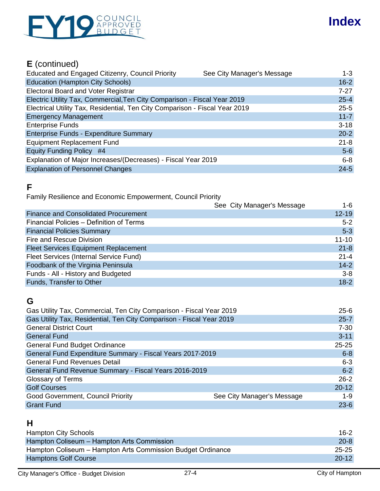

# **E** (continued)

| $1-3$    |
|----------|
| $16 - 2$ |
| $7 - 27$ |
| $25 - 4$ |
| $25 - 5$ |
| $11 - 7$ |
| $3 - 18$ |
| $20 - 2$ |
| $21 - 8$ |
| $5-6$    |
| $6 - 8$  |
| $24 - 5$ |
|          |

#### **F**

Family Resilience and Economic Empowerment, Council Priority

|                                             | See City Manager's Message<br>1-6 |
|---------------------------------------------|-----------------------------------|
| <b>Finance and Consolidated Procurement</b> | $12 - 19$                         |
| Financial Policies - Definition of Terms    | $5 - 2$                           |
| <b>Financial Policies Summary</b>           | $5-3$                             |
| Fire and Rescue Division                    | $11 - 10$                         |
| <b>Fleet Services Equipment Replacement</b> | $21 - 8$                          |
| Fleet Services (Internal Service Fund)      | $21 - 4$                          |
| Foodbank of the Virginia Peninsula          | $14-2$                            |
| Funds - All - History and Budgeted          | $3 - 8$                           |
| Funds, Transfer to Other                    | $18-2$                            |

#### **G**

| Gas Utility Tax, Commercial, Ten City Comparison - Fiscal Year 2019    | $25 - 6$  |
|------------------------------------------------------------------------|-----------|
| Gas Utility Tax, Residential, Ten City Comparison - Fiscal Year 2019   | $25 - 7$  |
| <b>General District Court</b>                                          | $7 - 30$  |
| <b>General Fund</b>                                                    | $3 - 11$  |
| <b>General Fund Budget Ordinance</b>                                   | $25 - 25$ |
| General Fund Expenditure Summary - Fiscal Years 2017-2019              | $6 - 8$   |
| <b>General Fund Revenues Detail</b>                                    | $6 - 3$   |
| General Fund Revenue Summary - Fiscal Years 2016-2019                  | $6 - 2$   |
| Glossary of Terms                                                      | $26 - 2$  |
| <b>Golf Courses</b>                                                    | $20 - 12$ |
| <b>Good Government, Council Priority</b><br>See City Manager's Message | $1 - 9$   |
| <b>Grant Fund</b>                                                      | $23-6$    |

## **H**

| <b>Hampton City Schools</b>                                 | 16-2      |
|-------------------------------------------------------------|-----------|
| Hampton Coliseum - Hampton Arts Commission                  | $20 - 8$  |
| Hampton Coliseum - Hampton Arts Commission Budget Ordinance | 25-25     |
| <b>Hamptons Golf Course</b>                                 | $20 - 12$ |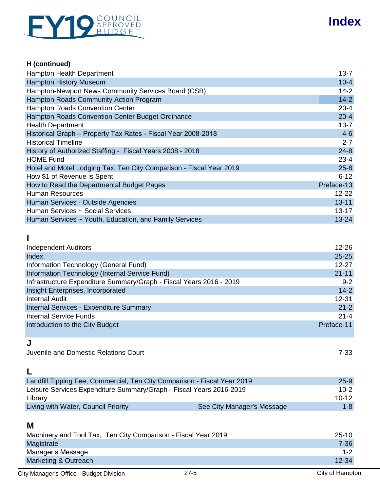

#### **H (continued)**

| Hampton Health Department                                           | $13 - 7$   |
|---------------------------------------------------------------------|------------|
| <b>Hampton History Museum</b>                                       | $10 - 4$   |
| Hampton-Newport News Community Services Board (CSB)                 | $14 - 2$   |
| Hampton Roads Community Action Program                              | $14-2$     |
| Hampton Roads Convention Center                                     | $20 - 4$   |
| Hampton Roads Convention Center Budget Ordinance                    | $20 - 4$   |
| <b>Health Department</b>                                            | $13 - 7$   |
| Historical Graph - Property Tax Rates - Fiscal Year 2008-2018       | $4-6$      |
| <b>Historical Timeline</b>                                          | $2 - 7$    |
| History of Authorized Staffing - Fiscal Years 2008 - 2018           | $24 - 8$   |
| <b>HOME Fund</b>                                                    | $23 - 4$   |
| Hotel and Motel Lodging Tax, Ten City Comparison - Fiscal Year 2019 | $25 - 8$   |
| How \$1 of Revenue is Spent                                         | $6 - 12$   |
| How to Read the Departmental Budget Pages                           | Preface-13 |
| Human Resources                                                     | $12 - 22$  |
| Human Services - Outside Agencies                                   | $13 - 11$  |
| Human Services ~ Social Services                                    | $13 - 17$  |
| Human Services ~ Youth, Education, and Family Services              | $13 - 24$  |

#### **I**

| <b>Independent Auditors</b>                                         | $12 - 26$  |
|---------------------------------------------------------------------|------------|
| Index                                                               | $25 - 25$  |
| Information Technology (General Fund)                               | $12 - 27$  |
| Information Technology (Internal Service Fund)                      | $21 - 11$  |
| Infrastructure Expenditure Summary/Graph - Fiscal Years 2016 - 2019 | $9 - 2$    |
| Insight Enterprises, Incorporated                                   | $14 - 2$   |
| <b>Internal Audit</b>                                               | $12 - 31$  |
| Internal Services - Expenditure Summary                             | $21 - 2$   |
| <b>Internal Service Funds</b>                                       | $21 - 4$   |
| Introduction to the City Budget                                     | Preface-11 |

#### **J**

Juvenile and Domestic Relations Court 7-33

# **L**

| Landfill Tipping Fee, Commercial, Ten City Comparison - Fiscal Year 2019 |                            | $25 - 9$ |
|--------------------------------------------------------------------------|----------------------------|----------|
| Leisure Services Expenditure Summary/Graph - Fiscal Years 2016-2019      |                            | $10-2$   |
| Library                                                                  |                            | $10-12$  |
| Living with Water, Council Priority                                      | See City Manager's Message | $1 - 8$  |

#### **M**

| Machinery and Tool Tax, Ten City Comparison - Fiscal Year 2019 | $25-10$   |
|----------------------------------------------------------------|-----------|
| Magistrate                                                     | $7 - 36$  |
| Manager's Message                                              | $1 - 2$   |
| Marketing & Outreach                                           | $12 - 34$ |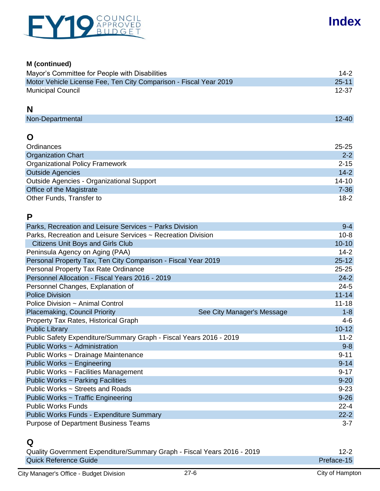

#### **M (continued)**

| Mayor's Committee for People with Disabilities                    | 14-2      |
|-------------------------------------------------------------------|-----------|
| Motor Vehicle License Fee, Ten City Comparison - Fiscal Year 2019 | $25 - 11$ |
| <b>Municipal Council</b>                                          | 12-37     |

#### **N**

#### **O**

| Ordinances                                | 25-25     |
|-------------------------------------------|-----------|
| <b>Organization Chart</b>                 | $2 - 2$   |
| <b>Organizational Policy Framework</b>    | $2 - 15$  |
| <b>Outside Agencies</b>                   | $14 - 2$  |
| Outside Agencies - Organizational Support | $14 - 10$ |
| Office of the Magistrate                  | $7 - 36$  |
| Other Funds, Transfer to                  | $18-2$    |

## **P**

| Parks, Recreation and Leisure Services ~ Parks Division            | $9 - 4$   |
|--------------------------------------------------------------------|-----------|
| Parks, Recreation and Leisure Services ~ Recreation Division       | $10 - 8$  |
| <b>Citizens Unit Boys and Girls Club</b>                           | $10 - 10$ |
| Peninsula Agency on Aging (PAA)                                    | $14 - 2$  |
| Personal Property Tax, Ten City Comparison - Fiscal Year 2019      | $25 - 12$ |
| Personal Property Tax Rate Ordinance                               | $25 - 25$ |
| Personnel Allocation - Fiscal Years 2016 - 2019                    | $24 - 2$  |
| Personnel Changes, Explanation of                                  | $24 - 5$  |
| <b>Police Division</b>                                             | $11 - 14$ |
| Police Division ~ Animal Control                                   | $11 - 18$ |
| Placemaking, Council Priority<br>See City Manager's Message        | $1 - 8$   |
| Property Tax Rates, Historical Graph                               | $4 - 6$   |
| <b>Public Library</b>                                              | $10 - 12$ |
| Public Safety Expenditure/Summary Graph - Fiscal Years 2016 - 2019 | $11 - 2$  |
| Public Works ~ Administration                                      | $9 - 8$   |
| Public Works ~ Drainage Maintenance                                | $9 - 11$  |
| Public Works ~ Engineering                                         | $9 - 14$  |
| Public Works ~ Facilities Management                               | $9 - 17$  |
| Public Works ~ Parking Facilities                                  | $9 - 20$  |
| Public Works ~ Streets and Roads                                   | $9 - 23$  |
| Public Works ~ Traffic Engineering                                 | $9 - 26$  |
| <b>Public Works Funds</b>                                          | $22 - 4$  |
| <b>Public Works Funds - Expenditure Summary</b>                    | $22 - 2$  |
| <b>Purpose of Department Business Teams</b>                        | $3 - 7$   |

# **Q**

| Quality Government Expenditure/Summary Graph - Fiscal Years 2016 - 2019 | 12-2       |
|-------------------------------------------------------------------------|------------|
| <b>Quick Reference Guide</b>                                            | Preface-15 |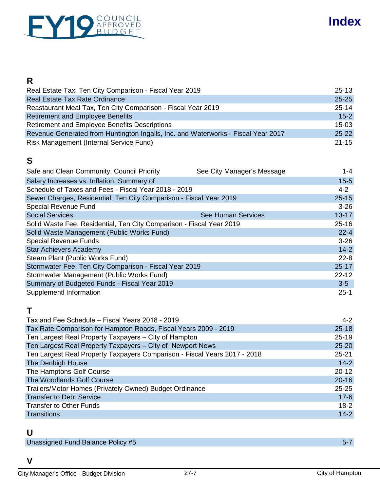

## **R**

| Real Estate Tax, Ten City Comparison - Fiscal Year 2019                           | $25 - 13$ |
|-----------------------------------------------------------------------------------|-----------|
| <b>Real Estate Tax Rate Ordinance</b>                                             | $25 - 25$ |
| Reastaurant Meal Tax, Ten City Comparison - Fiscal Year 2019                      | $25 - 14$ |
| <b>Retirement and Employee Benefits</b>                                           | $15 - 2$  |
| Retirement and Employee Benefits Descriptions                                     | $15-03$   |
| Revenue Generated from Huntington Ingalls, Inc. and Waterworks - Fiscal Year 2017 | $25 - 22$ |
| Risk Management (Internal Service Fund)                                           | $21 - 15$ |

## **S**

| Safe and Clean Community, Council Priority                           | See City Manager's Message | $1 - 4$   |
|----------------------------------------------------------------------|----------------------------|-----------|
| Salary Increases vs. Inflation, Summary of                           |                            | $15 - 5$  |
| Schedule of Taxes and Fees - Fiscal Year 2018 - 2019                 |                            | $4 - 2$   |
| Sewer Charges, Residential, Ten City Comparison - Fiscal Year 2019   |                            | $25 - 15$ |
| <b>Special Revenue Fund</b>                                          |                            | $3 - 26$  |
| <b>Social Services</b>                                               | <b>See Human Services</b>  | $13 - 17$ |
| Solid Waste Fee, Residential, Ten City Comparison - Fiscal Year 2019 |                            | $25 - 16$ |
| Solid Waste Management (Public Works Fund)                           |                            | $22 - 4$  |
| <b>Special Revenue Funds</b>                                         |                            | $3 - 26$  |
| <b>Star Achievers Academy</b>                                        |                            | $14-2$    |
| Steam Plant (Public Works Fund)                                      |                            | $22 - 8$  |
| Stormwater Fee, Ten City Comparison - Fiscal Year 2019               |                            | $25 - 17$ |
| Stormwater Management (Public Works Fund)                            |                            | $22 - 12$ |
| Summary of Budgeted Funds - Fiscal Year 2019                         |                            | $3-5$     |
| Supplementl Information                                              |                            | $25-1$    |

#### **T**

| Tax and Fee Schedule – Fiscal Years 2018 - 2019                           | $4 - 2$   |
|---------------------------------------------------------------------------|-----------|
| Tax Rate Comparison for Hampton Roads, Fiscal Years 2009 - 2019           | $25 - 18$ |
| Ten Largest Real Property Taxpayers - City of Hampton                     | $25 - 19$ |
| Ten Largest Real Property Taxpayers - City of Newport News                | $25 - 20$ |
| Ten Largest Real Property Taxpayers Comparison - Fiscal Years 2017 - 2018 | $25 - 21$ |
| The Denbigh House                                                         | $14-2$    |
| The Hamptons Golf Course                                                  | $20 - 12$ |
| The Woodlands Golf Course                                                 | $20 - 16$ |
| Trailers/Motor Homes (Privately Owned) Budget Ordinance                   | $25 - 25$ |
| <b>Transfer to Debt Service</b>                                           | $17-6$    |
| <b>Transfer to Other Funds</b>                                            | $18 - 2$  |
| <b>Transitions</b>                                                        | $14 - 2$  |

#### **U**

Unassigned Fund Balance Policy #5 5-7 5 and 200 million and 200 million and 200 million and 200 million and 20